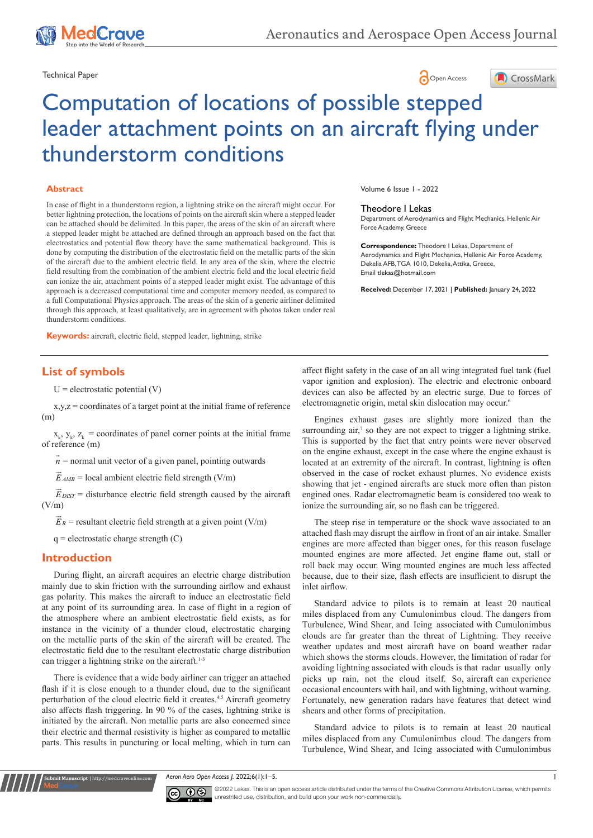





# Computation of locations of possible stepped leader attachment points on an aircraft flying under thunderstorm conditions

#### **Abstract**

In case of flight in a thunderstorm region, a lightning strike on the aircraft might occur. For better lightning protection, the locations of points on the aircraft skin where a stepped leader can be attached should be delimited. In this paper, the areas of the skin of an aircraft where a stepped leader might be attached are defined through an approach based on the fact that electrostatics and potential flow theory have the same mathematical background. This is done by computing the distribution of the electrostatic field on the metallic parts of the skin of the aircraft due to the ambient electric field. In any area of the skin, where the electric field resulting from the combination of the ambient electric field and the local electric field can ionize the air, attachment points of a stepped leader might exist. The advantage of this approach is a decreased computational time and computer memory needed, as compared to a full Computational Physics approach. The areas of the skin of a generic airliner delimited through this approach, at least qualitatively, are in agreement with photos taken under real thunderstorm conditions.

**Keywords:** aircraft, electric field, stepped leader, lightning, strike

# **List of symbols**

 $U =$  electrostatic potential  $(V)$ 

x,y,z = coordinates of a target point at the initial frame of reference (m)

 $x_k$ ,  $y_k$ ,  $z_k$  = coordinates of panel corner points at the initial frame of reference (m)

 $\vec{n}$  = normal unit vector of a given panel, pointing outwards

 $\vec{E}_{AMB}$  = local ambient electric field strength (V/m)

 $\vec{E}_{DIST}$  = disturbance electric field strength caused by the aircraft  $(V/m)$ 

 $\vec{E}_R$  = resultant electric field strength at a given point (V/m)

 $q =$  electrostatic charge strength  $(C)$ 

**Krit Manuscript** | http://medcraveonline.c

#### **Introduction**

During flight, an aircraft acquires an electric charge distribution mainly due to skin friction with the surrounding airflow and exhaust gas polarity. This makes the aircraft to induce an electrostatic field at any point of its surrounding area. In case of flight in a region of the atmosphere where an ambient electrostatic field exists, as for instance in the vicinity of a thunder cloud, electrostatic charging on the metallic parts of the skin of the aircraft will be created. The electrostatic field due to the resultant electrostatic charge distribution can trigger a lightning strike on the aircraft.<sup>1-3</sup>

There is evidence that a wide body airliner can trigger an attached flash if it is close enough to a thunder cloud, due to the significant perturbation of the cloud electric field it creates.<sup>4,5</sup> Aircraft geometry also affects flash triggering. In 90 % of the cases, lightning strike is initiated by the aircraft. Non metallic parts are also concerned since their electric and thermal resistivity is higher as compared to metallic parts. This results in puncturing or local melting, which in turn can Volume 6 Issue 1 - 2022

#### Theodore I Lekas

Department of Aerodynamics and Flight Mechanics, Hellenic Air Force Academy, Greece

**Correspondence:** Theodore I Lekas, Department of Aerodynamics and Flight Mechanics, Hellenic Air Force Academy, Dekelia AFB, TGA 1010, Dekelia, Attika, Greece, Email tlekas@hotmail.com

**Received:** December 17, 2021 | **Published:** January 24, 2022

affect flight safety in the case of an all wing integrated fuel tank (fuel vapor ignition and explosion). The electric and electronic onboard devices can also be affected by an electric surge. Due to forces of electromagnetic origin, metal skin dislocation may occur.6

Engines exhaust gases are slightly more ionized than the surrounding air, $7$  so they are not expect to trigger a lightning strike. This is supported by the fact that entry points were never observed on the engine exhaust, except in the case where the engine exhaust is located at an extremity of the aircraft. In contrast, lightning is often observed in the case of rocket exhaust plumes. No evidence exists showing that jet - engined aircrafts are stuck more often than piston engined ones. Radar electromagnetic beam is considered too weak to ionize the surrounding air, so no flash can be triggered.

The steep rise in temperature or the shock wave associated to an attached flash may disrupt the airflow in front of an air intake. Smaller engines are more affected than bigger ones, for this reason fuselage mounted engines are more affected. Jet engine flame out, stall or roll back may occur. Wing mounted engines are much less affected because, due to their size, flash effects are insufficient to disrupt the inlet airflow.

Standard advice to pilots is to remain at least 20 nautical miles displaced from any Cumulonimbus cloud. The dangers from Turbulence, Wind Shear, and Icing associated with Cumulonimbus clouds are far greater than the threat of Lightning. They receive weather updates and most aircraft have on board weather radar which shows the storms clouds. However, the limitation of radar for avoiding lightning associated with clouds is that radar usually only picks up rain, not the cloud itself. So, aircraft can experience occasional encounters with hail, and with lightning, without warning. Fortunately, new generation radars have features that detect wind shears and other forms of precipitation.

Standard advice to pilots is to remain at least 20 nautical miles displaced from any Cumulonimbus cloud. The dangers from Turbulence, Wind Shear, and Icing associated with Cumulonimbus

*Aeron Aero Open Access J.* 2022;6(1):1‒5. 1



©2022 Lekas. This is an open access article distributed under the terms of the Creative Commons Attribution License, which permits unrestrited use, distribution, and build upon your work non-commercially.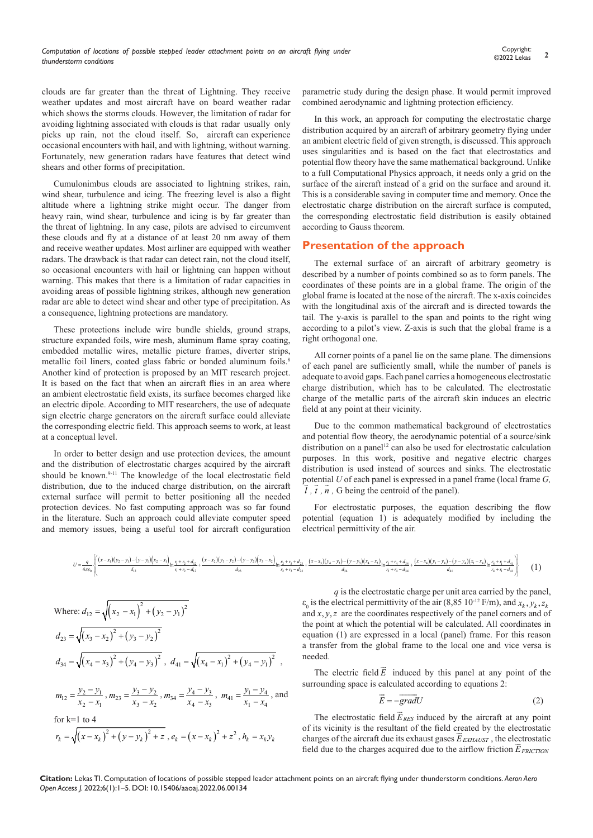clouds are far greater than the threat of Lightning. They receive weather updates and most aircraft have on board weather radar which shows the storms clouds. However, the limitation of radar for avoiding lightning associated with clouds is that radar usually only picks up rain, not the cloud itself. So, aircraft can experience occasional encounters with hail, and with lightning, without warning. Fortunately, new generation radars have features that detect wind shears and other forms of precipitation.

Cumulonimbus clouds are associated to lightning strikes, rain, wind shear, turbulence and icing. The freezing level is also a flight altitude where a lightning strike might occur. The danger from heavy rain, wind shear, turbulence and icing is by far greater than the threat of lightning. In any case, pilots are advised to circumvent these clouds and fly at a distance of at least 20 nm away of them and receive weather updates. Most airliner are equipped with weather radars. The drawback is that radar can detect rain, not the cloud itself, so occasional encounters with hail or lightning can happen without warning. This makes that there is a limitation of radar capacities in avoiding areas of possible lightning strikes, although new generation radar are able to detect wind shear and other type of precipitation. As a consequence, lightning protections are mandatory.

These protections include wire bundle shields, ground straps, structure expanded foils, wire mesh, aluminum flame spray coating, embedded metallic wires, metallic picture frames, diverter strips, metallic foil liners, coated glass fabric or bonded aluminum foils.<sup>8</sup> Another kind of protection is proposed by an MIT research project. It is based on the fact that when an aircraft flies in an area where an ambient electrostatic field exists, its surface becomes charged like an electric dipole. According to MIT researchers, the use of adequate sign electric charge generators on the aircraft surface could alleviate the corresponding electric field. This approach seems to work, at least at a conceptual level.

In order to better design and use protection devices, the amount and the distribution of electrostatic charges acquired by the aircraft should be known.<sup>9-11</sup> The knowledge of the local electrostatic field distribution, due to the induced charge distribution, on the aircraft external surface will permit to better positioning all the needed protection devices. No fast computing approach was so far found in the literature. Such an approach could alleviate computer speed and memory issues, being a useful tool for aircraft configuration parametric study during the design phase. It would permit improved combined aerodynamic and lightning protection efficiency.

In this work, an approach for computing the electrostatic charge distribution acquired by an aircraft of arbitrary geometry flying under an ambient electric field of given strength, is discussed. This approach uses singularities and is based on the fact that electrostatics and potential flow theory have the same mathematical background. Unlike to a full Computational Physics approach, it needs only a grid on the surface of the aircraft instead of a grid on the surface and around it. This is a considerable saving in computer time and memory. Once the electrostatic charge distribution on the aircraft surface is computed, the corresponding electrostatic field distribution is easily obtained according to Gauss theorem.

#### **Presentation of the approach**

The external surface of an aircraft of arbitrary geometry is described by a number of points combined so as to form panels. The coordinates of these points are in a global frame. The origin of the global frame is located at the nose of the aircraft. The x-axis coincides with the longitudinal axis of the aircraft and is directed towards the tail. The y-axis is parallel to the span and points to the right wing according to a pilot's view. Z-axis is such that the global frame is a right orthogonal one.

All corner points of a panel lie on the same plane. The dimensions of each panel are sufficiently small, while the number of panels is adequate to avoid gaps. Each panel carries a homogeneous electrostatic charge distribution, which has to be calculated. The electrostatic charge of the metallic parts of the aircraft skin induces an electric field at any point at their vicinity.

Due to the common mathematical background of electrostatics and potential flow theory, the aerodynamic potential of a source/sink distribution on a panel<sup>12</sup> can also be used for electrostatic calculation purposes. In this work, positive and negative electric charges distribution is used instead of sources and sinks. The electrostatic potential *U* of each panel is expressed in a panel frame (local frame *G, l , t , n ,* G being the centroid of the panel).

For electrostatic purposes, the equation describing the flow potential (equation 1) is adequately modified by including the electrical permittivity of the air.

$$
U = \frac{q}{4\pi\omega_0} \left\{ \left[ \frac{(x-x_1)(y_2-y_1) - (y-y_1)(x_2-x_1)}{d_{12}} \ln \frac{r_1+r_2+d_{12}}{r_1+r_2-d_{12}} + \frac{(x-x_2)(y_3-y_2) - (y-y_2)(x_3-x_2)}{d_{23}} \ln \frac{r_2+r_3+d_{23}}{r_2+r_3-d_{23}} + \frac{(x-x_3)(y_4-y_3) - (y-y_3)(x_4-x_3)}{d_{34}} \ln \frac{r_3+r_4+d_{34}}{r_3+r_4-d_{34}} + \frac{(x-x_4)(y_1-y_4) - (y-y_4)(x_1-x_4)}{d_{44}} \ln \frac{r_4+r_1+d_{41}}{r_4+r_1-d_{41}} \right\}
$$
 (1)

Where: 
$$
d_{12} = \sqrt{(x_2 - x_1)^2 + (y_2 - y_1)^2}
$$
  
\n $d_{23} = \sqrt{(x_3 - x_2)^2 + (y_3 - y_2)^2}$   
\n $d_{34} = \sqrt{(x_4 - x_3)^2 + (y_4 - y_3)^2}$ ,  $d_{41} = \sqrt{(x_4 - x_1)^2 + (y_4 - y_1)^2}$ ,  
\n $m_{12} = \frac{y_2 - y_1}{x_2 - x_1}$ ,  $m_{23} = \frac{y_3 - y_2}{x_3 - x_2}$ ,  $m_{34} = \frac{y_4 - y_3}{x_4 - x_3}$ ,  $m_{41} = \frac{y_1 - y_4}{x_1 - x_4}$ , and

for k=1 to 4  

$$
r_k = \sqrt{(x - x_k)^2 + (y - y_k)^2 + z}
$$
,  $e_k = (x - x_k)^2 + z^2$ ,  $h_k = x_k y_k$ 

*q* is the electrostatic charge per unit area carried by the panel,  $\varepsilon_0$  is the electrical permittivity of the air (8,85 10<sup>-12</sup> F/m), and  $x_k$ ,  $y_k$ ,  $z_k$ and  $x, y, z$  are the coordinates respectively of the panel corners and of the point at which the potential will be calculated. All coordinates in equation (1) are expressed in a local (panel) frame. For this reason a transfer from the global frame to the local one and vice versa is needed.

The electric field  $\vec{E}$  induced by this panel at any point of the surrounding space is calculated according to equations 2:

$$
\vec{E} = -\overrightarrow{grad}U\tag{2}
$$

The electrostatic field  $\vec{E}_{RES}$  induced by the aircraft at any point of its vicinity is the resultant of the field created by the electrostatic for its victing is the resultant of the field created by the electrostatic charges of the aircraft due its exhaust gases  $\vec{E}_{EXHAVST}$ , the electrostatic field due to the charges acquired due to the airflow friction  $\vec{E}_{FRICITION}$ 

**Citation:** Lekas TI. Computation of locations of possible stepped leader attachment points on an aircraft flying under thunderstorm conditions. *Aeron Aero Open Access J.* 2022;6(1):1‒5. DOI: [10.15406/aaoaj.2022.06.00134](https://doi.org/10.15406/aaoaj.2022.06.00134)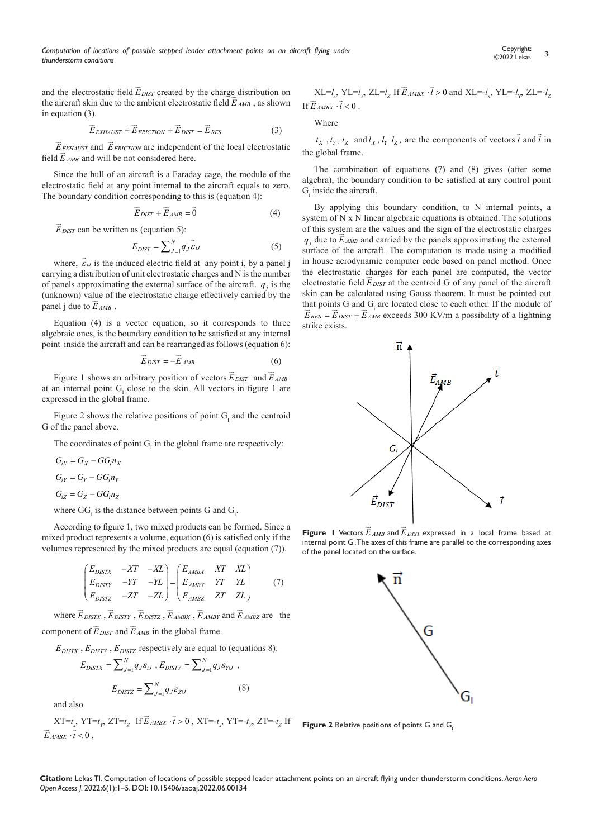and the electrostatic field  $\vec{E}_{DIST}$  created by the charge distribution on and the electrostatic field  $E_{DIST}$  created by the charge distribution on the aircraft skin due to the ambient electrostatic field  $\vec{E}_{AMB}$ , as shown in equation (3).

$$
\vec{E}_{EXHAUST} + \vec{E}_{FRICTION} + \vec{E}_{DIST} = \vec{E}_{RES}
$$
 (3)

 $\vec{E}_{\text{EKHAVST}}$  and  $\vec{E}_{\text{FRICTION}}$  are independent of the local electrostatic *E EXHAUST* and *E FRICTION* are independent field  $\vec{E}_{AMB}$  and will be not considered here.

Since the hull of an aircraft is a Faraday cage, the module of the electrostatic field at any point internal to the aircraft equals to zero. The boundary condition corresponding to this is (equation 4):

$$
\vec{E}_{DIST} + \vec{E}_{AMB} = \vec{0}
$$
 (4)

*E DIST* can be written as (equation 5):

$$
E_{DIST} = \sum_{J=1}^{N} q_J \vec{\varepsilon}_{iJ} \tag{5}
$$

where,  $\vec{\epsilon}_{ij}$  is the induced electric field at any point i, by a panel j carrying a distribution of unit electrostatic charges and N is the number of panels approximating the external surface of the aircraft.  $q_i$  is the (unknown) value of the electrostatic charge effectively carried by the (unknown) value of  $L$ <br>panel j due to  $\vec{E}_{\text{AMB}}$ .

Equation (4) is a vector equation, so it corresponds to three algebraic ones, is the boundary condition to be satisfied at any internal point inside the aircraft and can be rearranged as follows (equation 6):

$$
\vec{E}_{DIST} = -\vec{E}_{AMB} \tag{6}
$$

Figure 1 shows an arbitrary position of vectors  $\vec{E}_{DIST}$  and  $\vec{E}_{AMB}$ at an internal point  $G<sub>I</sub>$  close to the skin. All vectors in figure 1 are expressed in the global frame.

Figure 2 shows the relative positions of point  $G<sub>I</sub>$  and the centroid G of the panel above.

The coordinates of point  $G<sub>l</sub>$  in the global frame are respectively:

$$
G_{ix} = G_X - GG_i n_X
$$
  
\n
$$
G_{iY} = G_Y - GG_i n_Y
$$
  
\n
$$
G_{iZ} = G_Z - GG_i n_Z
$$

where  $GG<sub>I</sub>$  is the distance between points G and  $G<sub>I</sub>$ .

According to figure 1, two mixed products can be formed. Since a mixed product represents a volume, equation (6) is satisfied only if the volumes represented by the mixed products are equal (equation (7)).

$$
\begin{pmatrix}\nE_{DISTX} & -XT & -XL \\
E_{DISTY} & -YT & -YL \\
E_{DISTZ} & -ZT & -ZL\n\end{pmatrix} = \begin{pmatrix}\nE_{AMBY} & XT & XL \\
E_{AMBY} & YT & YL \\
E_{AMBZ} & ZT & ZL\n\end{pmatrix}
$$
\n(7)

where  $\vec{E}_{DISTX}$ ,  $\vec{E}_{DISTY}$ ,  $\vec{E}_{DISTZ}$ ,  $\vec{E}_{AMBX}$ ,  $\vec{E}_{AMBY}$  and  $\vec{E}_{AMBZ}$  are the component of  $\vec{E}_{DIST}$  and  $\vec{E}_{AMB}$  in the global frame.

 $E_{DISTX}$ ,  $E_{DISTY}$ ,  $E_{DISTZ}$  respectively are equal to (equations 8):

$$
E_{DISTX} = \sum_{J=1}^{N} q_{J} \varepsilon_{iJ}, E_{DISTY} = \sum_{J=1}^{N} q_{J} \varepsilon_{YiJ},
$$

$$
E_{DISTZ} = \sum_{J=1}^{N} q_{J} \varepsilon_{ZiJ}
$$
(8)

and also

$$
XT = t_x, \space YT = t_y, \space ZT = t_z \space \text{ If } \overrightarrow{E}_{AMBX} \cdot \overrightarrow{t} > 0 \text{ , } XT = -t_x, \space YT = -t_y, \space ZT = -t_z \space \text{ If } \overrightarrow{E}_{AMBX} \cdot \overrightarrow{t} < 0 \text{ , }
$$

 $XL = l_x$ ,  $YL = l_y$ ,  $ZL = l_z$  If  $\vec{E}_{AMBX} \cdot \vec{l} > 0$  and  $XL = l_x$ ,  $YL = l_y$ ,  $ZL = l_z$ If  $\vec{E}$  *AMBY*  $\cdot \vec{l}$  < 0.

Where

 $t_X$ ,  $t_Y$ ,  $t_Z$  and  $l_X$ ,  $l_Y$   $l_Z$ , are the components of vectors  $\vec{t}$  and  $\vec{l}$  in the global frame.

The combination of equations (7) and (8) gives (after some algebra), the boundary condition to be satisfied at any control point  $G<sub>i</sub>$  inside the aircraft.

By applying this boundary condition, to N internal points, a system of N x N linear algebraic equations is obtained. The solutions of this system are the values and the sign of the electrostatic charges  $q_j$  due to  $\vec{E}_{AMB}$  and carried by the panels approximating the external surface of the aircraft. The computation is made using a modified in house aerodynamic computer code based on panel method. Once the electrostatic charges for each panel are computed, the vector the electrostatic charges for each panel are computed, the vector electrostatic field  $\vec{E}_{DIST}$  at the centroid G of any panel of the aircraft skin can be calculated using Gauss theorem. It must be pointed out that points G and  $G_i$  are located close to each other. If the module of  $\vec{E}_{RES} = \vec{E}_{DIST} + \vec{E}_{AMB}$  exceeds 300 KV/m a possibility of a lightning strike exists.



**Figure 1** Vectors  $\vec{E}_{AMB}$  and  $\vec{E}_{DIST}$  expressed in a local frame based at internal point  $\mathsf{G}_{\cdot}$ . The axes of this frame are parallel to the corresponding axes of the panel located on the surface.



**Figure 2** Relative positions of points G and  $G_i$ .

**Citation:** Lekas TI. Computation of locations of possible stepped leader attachment points on an aircraft flying under thunderstorm conditions. *Aeron Aero Open Access J.* 2022;6(1):1‒5. DOI: [10.15406/aaoaj.2022.06.00134](https://doi.org/10.15406/aaoaj.2022.06.00134)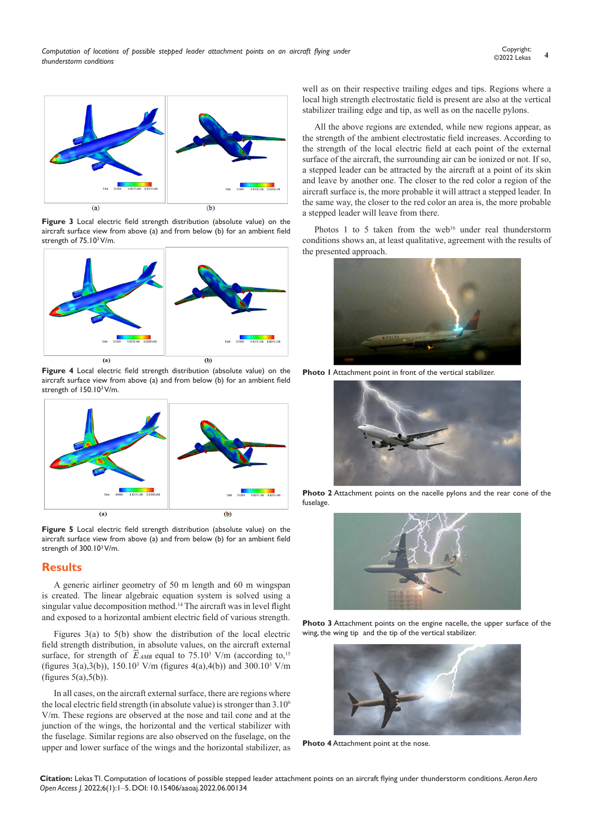

**Figure 3** Local electric field strength distribution (absolute value) on the aircraft surface view from above (a) and from below (b) for an ambient field strength of 75.10<sup>3</sup> V/m.



**Figure 4** Local electric field strength distribution (absolute value) on the aircraft surface view from above (a) and from below (b) for an ambient field strength of 150.10<sup>3</sup> V/m.



**Figure 5** Local electric field strength distribution (absolute value) on the aircraft surface view from above (a) and from below (b) for an ambient field strength of 300.10<sup>3</sup> V/m.

### **Results**

A generic airliner geometry of 50 m length and 60 m wingspan is created. The linear algebraic equation system is solved using a singular value decomposition method.14 The aircraft was in level flight and exposed to a horizontal ambient electric field of various strength.

Figures 3(a) to 5(b) show the distribution of the local electric field strength distribution, in absolute values, on the aircraft external ileid strength distribution, in absolute values, on the aircraft external<br>surface, for strength of  $\vec{E}_{AMB}$  equal to 75.10<sup>3</sup> V/m (according to,<sup>15</sup> (figures 3(a),3(b)),  $150.10^3$  V/m (figures 4(a),4(b)) and  $300.10^3$  V/m (figures  $5(a)$ , $5(b)$ ).

In all cases, on the aircraft external surface, there are regions where the local electric field strength (in absolute value) is stronger than 3.10<sup>6</sup> V/m. These regions are observed at the nose and tail cone and at the junction of the wings, the horizontal and the vertical stabilizer with the fuselage. Similar regions are also observed on the fuselage, on the upper and lower surface of the wings and the horizontal stabilizer, as well as on their respective trailing edges and tips. Regions where a local high strength electrostatic field is present are also at the vertical stabilizer trailing edge and tip, as well as on the nacelle pylons.

All the above regions are extended, while new regions appear, as the strength of the ambient electrostatic field increases. According to the strength of the local electric field at each point of the external surface of the aircraft, the surrounding air can be ionized or not. If so, a stepped leader can be attracted by the aircraft at a point of its skin and leave by another one. The closer to the red color a region of the aircraft surface is, the more probable it will attract a stepped leader. In the same way, the closer to the red color an area is, the more probable a stepped leader will leave from there.

Photos 1 to 5 taken from the web<sup>16</sup> under real thunderstorm conditions shows an, at least qualitative, agreement with the results of the presented approach.



**Photo 1** Attachment point in front of the vertical stabilizer.



**Photo 2** Attachment points on the nacelle pylons and the rear cone of the fuselage.



**Photo 3** Attachment points on the engine nacelle, the upper surface of the wing, the wing tip and the tip of the vertical stabilizer.



**Photo 4** Attachment point at the nose.

**Citation:** Lekas TI. Computation of locations of possible stepped leader attachment points on an aircraft flying under thunderstorm conditions. *Aeron Aero Open Access J.* 2022;6(1):1‒5. DOI: [10.15406/aaoaj.2022.06.00134](https://doi.org/10.15406/aaoaj.2022.06.00134)